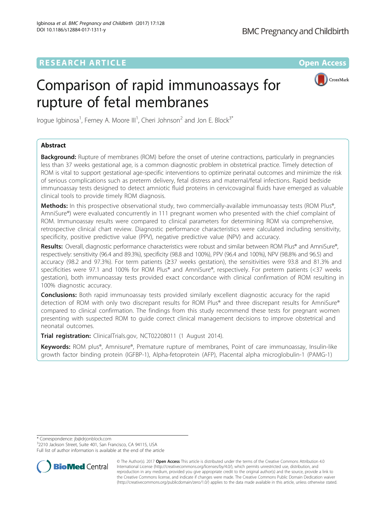## **RESEARCH ARTICLE Example 2018 12:00 Department of the CONNECTION CONNECTION CONNECTION CONNECTION CONNECTION**

# Comparison of rapid immunoassays for rupture of fetal membranes



Irogue Igbinosa<sup>1</sup>, Ferney A. Moore III<sup>1</sup>, Cheri Johnson<sup>2</sup> and Jon E. Block<sup>3\*</sup>

## Abstract

**Background:** Rupture of membranes (ROM) before the onset of uterine contractions, particularly in pregnancies less than 37 weeks gestational age, is a common diagnostic problem in obstetrical practice. Timely detection of ROM is vital to support gestational age-specific interventions to optimize perinatal outcomes and minimize the risk of serious complications such as preterm delivery, fetal distress and maternal/fetal infections. Rapid bedside immunoassay tests designed to detect amniotic fluid proteins in cervicovaginal fluids have emerged as valuable clinical tools to provide timely ROM diagnosis.

Methods: In this prospective observational study, two commercially-available immunoassay tests (ROM Plus®, AmniSure®) were evaluated concurrently in 111 pregnant women who presented with the chief complaint of ROM. Immunoassay results were compared to clinical parameters for determining ROM via comprehensive, retrospective clinical chart review. Diagnostic performance characteristics were calculated including sensitivity, specificity, positive predictive value (PPV), negative predictive value (NPV) and accuracy.

Results: Overall, diagnostic performance characteristics were robust and similar between ROM Plus® and AmniSure®, respectively: sensitivity (96.4 and 89.3%), specificity (98.8 and 100%), PPV (96.4 and 100%), NPV (98.8% and 96.5) and accuracy (98.2 and 97.3%). For term patients (≥37 weeks gestation), the sensitivities were 93.8 and 81.3% and specificities were 97.1 and 100% for ROM Plus® and AmniSure®, respectively. For preterm patients (<37 weeks gestation), both immunoassay tests provided exact concordance with clinical confirmation of ROM resulting in 100% diagnostic accuracy.

**Conclusions:** Both rapid immunoassay tests provided similarly excellent diagnostic accuracy for the rapid detection of ROM with only two discrepant results for ROM Plus® and three discrepant results for AmniSure® compared to clinical confirmation. The findings from this study recommend these tests for pregnant women presenting with suspected ROM to guide correct clinical management decisions to improve obstetrical and neonatal outcomes.

Trial registration: ClinicalTrials.gov, [NCT02208011](https://clinicaltrials.gov/ct2/show/NCT02208011?term=clinical+innovations&rank=10) (1 August 2014).

Keywords: ROM plus®, Amnisure®, Premature rupture of membranes, Point of care immunoassay, Insulin-like growth factor binding protein (IGFBP-1), Alpha-fetoprotein (AFP), Placental alpha microglobulin-1 (PAMG-1)

\* Correspondence: [jb@drjonblock.com](mailto:jb@drjonblock.com) <sup>3</sup>

<sup>3</sup>2210 Jackson Street, Suite 401, San Francisco, CA 94115, USA Full list of author information is available at the end of the article



© The Author(s). 2017 **Open Access** This article is distributed under the terms of the Creative Commons Attribution 4.0 International License [\(http://creativecommons.org/licenses/by/4.0/](http://creativecommons.org/licenses/by/4.0/)), which permits unrestricted use, distribution, and reproduction in any medium, provided you give appropriate credit to the original author(s) and the source, provide a link to the Creative Commons license, and indicate if changes were made. The Creative Commons Public Domain Dedication waiver [\(http://creativecommons.org/publicdomain/zero/1.0/](http://creativecommons.org/publicdomain/zero/1.0/)) applies to the data made available in this article, unless otherwise stated.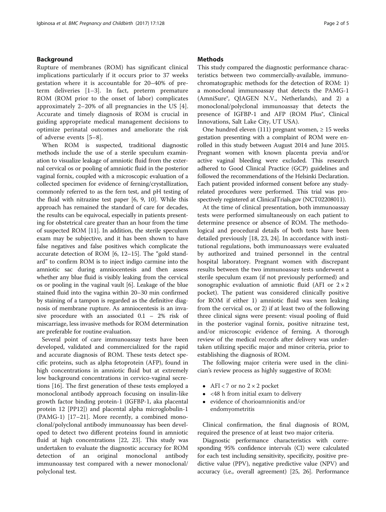#### Background

Rupture of membranes (ROM) has significant clinical implications particularly if it occurs prior to 37 weeks gestation where it is accountable for 20–40% of preterm deliveries [\[1](#page-4-0)–[3\]](#page-4-0). In fact, preterm premature ROM (ROM prior to the onset of labor) complicates approximately 2–20% of all pregnancies in the US [\[4](#page-4-0)]. Accurate and timely diagnosis of ROM is crucial in guiding appropriate medical management decisions to optimize perinatal outcomes and ameliorate the risk of adverse events [\[5](#page-4-0)–[8](#page-4-0)].

When ROM is suspected, traditional diagnostic methods include the use of a sterile speculum examination to visualize leakage of amniotic fluid from the external cervical os or pooling of amniotic fluid in the posterior vaginal fornix, coupled with a microscopic evaluation of a collected specimen for evidence of ferning/crystallization, commonly referred to as the fern test, and pH testing of the fluid with nitrazine test paper [[6, 9, 10\]](#page-4-0). While this approach has remained the standard of care for decades, the results can be equivocal, especially in patients presenting for obstetrical care greater than an hour from the time of suspected ROM [[11](#page-4-0)]. In addition, the sterile speculum exam may be subjective, and it has been shown to have false negatives and false positives which complicate the accurate detection of ROM [\[6](#page-4-0), [12](#page-4-0)–[15](#page-4-0)]. The "gold standard" to confirm ROM is to inject indigo carmine into the amniotic sac during amniocentesis and then assess whether any blue fluid is visibly leaking from the cervical os or pooling in the vaginal vault [[6\]](#page-4-0). Leakage of the blue stained fluid into the vagina within 20–30 min confirmed by staining of a tampon is regarded as the definitive diagnosis of membrane rupture. As amniocentesis is an invasive procedure with an associated 0.1 – 2% risk of miscarriage, less invasive methods for ROM determination are preferable for routine evaluation.

Several point of care immunoassay tests have been developed, validated and commercialized for the rapid and accurate diagnosis of ROM. These tests detect specific proteins, such as alpha fetoprotein (AFP), found in high concentrations in amniotic fluid but at extremely low background concentrations in cervico-vaginal secretions [\[16\]](#page-4-0). The first generation of these tests employed a monoclonal antibody approach focusing on insulin-like growth factor binding protein-1 (IGFBP-1, aka placental protein 12 [PP12]) and placental alpha microglobulin-1 (PAMG-1) [[17](#page-4-0)–[21](#page-4-0)]. More recently, a combined monoclonal/polyclonal antibody immunoassay has been developed to detect two different proteins found in amniotic fluid at high concentrations [\[22](#page-4-0), [23\]](#page-4-0). This study was undertaken to evaluate the diagnostic accuracy for ROM detection of an original monoclonal antibody immunoassay test compared with a newer monoclonal/ polyclonal test.

#### **Methods**

This study compared the diagnostic performance characteristics between two commercially-available, immunochromatographic methods for the detection of ROM: 1) a monoclonal immunoassay that detects the PAMG-1 (AmniSure®, QIAGEN N.V., Netherlands), and 2) a monoclonal/polyclonal immunoassay that detects the presence of IGFBP-1 and AFP (ROM Plus<sup>®</sup>, Clinical Innovations, Salt Lake City, UT USA).

One hundred eleven (111) pregnant women,  $\geq 15$  weeks gestation presenting with a complaint of ROM were enrolled in this study between August 2014 and June 2015. Pregnant women with known placenta previa and/or active vaginal bleeding were excluded. This research adhered to Good Clinical Practice (GCP) guidelines and followed the recommendations of the Helsinki Declaration. Each patient provided informed consent before any studyrelated procedures were performed. This trial was prospectively registered at ClinicalTrials.gov (NCT02208011).

At the time of clinical presentation, both immunoassay tests were performed simultaneously on each patient to determine presence or absence of ROM. The methodological and procedural details of both tests have been detailed previously [[18](#page-4-0), [23](#page-4-0), [24](#page-4-0)]. In accordance with institutional regulations, both immunoassays were evaluated by authorized and trained personnel in the central hospital laboratory. Pregnant women with discrepant results between the two immunoassay tests underwent a sterile speculum exam (if not previously performed) and sonographic evaluation of amniotic fluid (AFI or  $2 \times 2$ ) pocket). The patient was considered clinically positive for ROM if either 1) amniotic fluid was seen leaking from the cervical os, or 2) if at least two of the following three clinical signs were present: visual pooling of fluid in the posterior vaginal fornix, positive nitrazine test, and/or microscopic evidence of ferning. A thorough review of the medical records after delivery was undertaken utilizing specific major and minor criteria, prior to establishing the diagnosis of ROM.

The following major criteria were used in the clinician's review process as highly suggestive of ROM:

- AFI < 7 or no  $2 \times 2$  pocket
- <48 h from initial exam to delivery
- evidence of chorioamnionitis and/or endomyometritis

Clinical confirmation, the final diagnosis of ROM, required the presence of at least two major criteria.

Diagnostic performance characteristics with corresponding 95% confidence intervals (CI) were calculated for each test including sensitivity, specificity, positive predictive value (PPV), negative predictive value (NPV) and accuracy (i.e., overall agreement) [[25](#page-4-0), [26](#page-4-0)]. Performance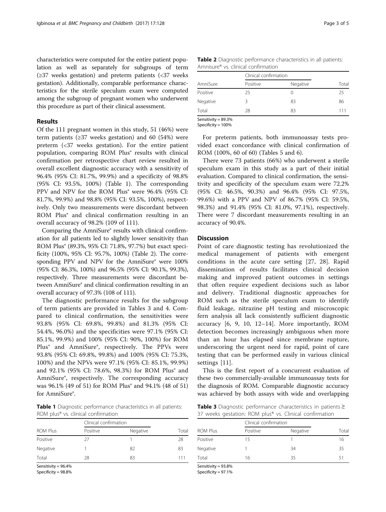characteristics were computed for the entire patient population as well as separately for subgroups of term  $(\geq)37$  weeks gestation) and preterm patients (<37 weeks gestation). Additionally, comparable performance characteristics for the sterile speculum exam were computed among the subgroup of pregnant women who underwent this procedure as part of their clinical assessment.

#### Results

Of the 111 pregnant women in this study, 51 (46%) were term patients ( $\geq$ 37 weeks gestation) and 60 (54%) were preterm (<37 weeks gestation). For the entire patient population, comparing ROM Plus® results with clinical confirmation per retrospective chart review resulted in overall excellent diagnostic accuracy with a sensitivity of 96.4% (95% CI: 81.7%, 99.9%) and a specificity of 98.8% (95% CI: 93.5%, 100%) (Table 1). The corresponding PPV and NPV for the ROM Plus<sup>®</sup> were 96.4% (95% CI: 81.7%, 99.9%) and 98.8% (95% CI: 93.5%, 100%), respectively. Only two measurements were discordant between ROM Plus® and clinical confirmation resulting in an overall accuracy of 98.2% (109 of 111).

Comparing the AmniSure® results with clinical confirmation for all patients led to slightly lower sensitivity than ROM Plus® (89.3%, 95% CI: 71.8%, 97.7%) but exact specificity (100%, 95% CI: 95.7%, 100%) (Table 2). The corresponding PPV and NPV for the AmniSure® were 100% (95% CI: 86.3%, 100%) and 96.5% (95% CI: 90.1%, 99.3%), respectively. Three measurements were discordant between AmniSure® and clinical confirmation resulting in an overall accuracy of 97.3% (108 of 111).

The diagnostic performance results for the subgroup of term patients are provided in Tables 3 and [4.](#page-3-0) Compared to clinical confirmation, the sensitivities were 93.8% (95% CI: 69.8%, 99.8%) and 81.3% (95% CI: 54.4%, 96.0%) and the specificities were 97.1% (95% CI: 85.1%, 99.9%) and 100% (95% CI: 90%, 100%) for ROM Plus<sup>®</sup> and AmniSure<sup>®</sup>, respectively. The PPVs were 93.8% (95% CI: 69.8%, 99.8%) and 100% (95% CI: 75.3%, 100%) and the NPVs were 97.1% (95% CI: 85.1%, 99.9%) and 92.1% (95% CI: 78.6%, 98.3%) for ROM Plus® and AmniSure®, respectively. The corresponding accuracy was 96.1% (49 of 51) for ROM Plus® and 94.1% (48 of 51) for AmniSure®.

Table 1 Diagnostic performance characteristics in all patients: ROM plus® vs. clinical confirmation

|                     | Clinical confirmation |          |       |
|---------------------|-----------------------|----------|-------|
| <b>ROM Plus</b>     | Positive              | Negative | Total |
| Positive            | 27                    |          | 28    |
| Negative            |                       | 82       | 83    |
| Total               | 28                    | 83       | 111   |
| Sensitivity = 96.4% |                       |          |       |

Specificity = 98.8%

|  |                                     | <b>Table 2</b> Diagnostic performance characteristics in all patients: |  |
|--|-------------------------------------|------------------------------------------------------------------------|--|
|  | Amnisure® vs. clinical confirmation |                                                                        |  |

| AmniSure | Clinical confirmation |                  |       |
|----------|-----------------------|------------------|-------|
|          | Positive              | Negative         | Total |
| Positive | 25                    | $\left( \right)$ | 25    |
| Negative | Β                     | 83               | 86    |
| Total    | 28                    | 83               | 111   |

Sensitivity = 89.3%

Specificity = 100%

For preterm patients, both immunoassay tests provided exact concordance with clinical confirmation of ROM (100%, 60 of 60) (Tables [5](#page-3-0) and [6\)](#page-3-0).

There were 73 patients (66%) who underwent a sterile speculum exam in this study as a part of their initial evaluation. Compared to clinical confirmation, the sensitivity and specificity of the speculum exam were 72.2% (95% CI: 46.5%, 90.3%) and 96.4% (95% CI: 97.5%, 99.6%) with a PPV and NPV of 86.7% (95% CI: 59.5%, 98.3%) and 91.4% (95% CI: 81.0%, 97.1%), respectively. There were 7 discordant measurements resulting in an accuracy of 90.4%.

#### **Discussion**

Point of care diagnostic testing has revolutionized the medical management of patients with emergent conditions in the acute care setting [\[27](#page-4-0), [28](#page-4-0)]. Rapid dissemination of results facilitates clinical decision making and improved patient outcomes in settings that often require expedient decisions such as labor and delivery. Traditional diagnostic approaches for ROM such as the sterile speculum exam to identify fluid leakage, nitrazine pH testing and miscroscopic fern analysis all lack consistently sufficient diagnostic accuracy [[6, 9, 10, 12](#page-4-0)–[14](#page-4-0)]. More importantly, ROM detection becomes increasingly ambiguous when more than an hour has elapsed since membrane rupture, underscoring the urgent need for rapid, point of care testing that can be performed easily in various clinical settings [[11\]](#page-4-0).

This is the first report of a concurrent evaluation of these two commercially-available immunoassay tests for the diagnosis of ROM. Comparable diagnostic accuracy was achieved by both assays with wide and overlapping

Table 3 Diagnostic performance characteristics in patients ≥ 37 weeks gestation: ROM plus® vs. Clinical confirmation

| <b>ROM Plus</b> | Clinical confirmation |          |       |
|-----------------|-----------------------|----------|-------|
|                 | Positive              | Negative | Total |
| Positive        | 15                    |          | 16    |
| Negative        |                       | 34       | 35    |
| Total           | 16                    | 35       | 51    |

Sensitivity = 93.8%

Specificity = 97.1%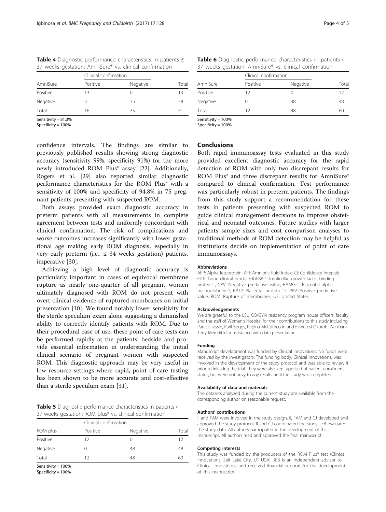<span id="page-3-0"></span>

| AmniSure | Clinical confirmation |          |       |
|----------|-----------------------|----------|-------|
|          | Positive              | Negative | Total |
| Positive | 13                    |          | 13    |
| Negative | ર                     | 35       | 38    |
| Total    | 16                    | 35       | 51    |
|          |                       |          |       |

Sensitivity = 81.3% Specificity =  $100\%$ 

Table 6 Diagnostic performance characteristics in patients < 37 weeks gestation: AmniSure® vs. clinical confirmation

| AmniSure | Clinical confirmation |          |       |
|----------|-----------------------|----------|-------|
|          | Positive              | Negative | Total |
| Positive | 12                    | $\left($ | 12    |
| Negative |                       | 48       | 48    |
| Total    | 12                    | 48       | 60    |

Sensitivity = 100%

Specificity =  $100\%$ 

## confidence intervals. The findings are similar to previously published results showing strong diagnostic accuracy (sensitivity 99%, specificity 91%) for the more newly introduced ROM Plus® assay [[22\]](#page-4-0). Additionally, Rogers et al. [\[29](#page-4-0)] also reported similar diagnostic performance characteristics for the ROM Plus® with a sensitivity of 100% and specificity of 94.8% in 75 pregnant patients presenting with suspected ROM.

Both assays provided exact diagnostic accuracy in preterm patients with all measurements in complete agreement between tests and uniformly concordant with clinical confirmation. The risk of complications and worse outcomes increases significantly with lower gestational age making early ROM diagnosis, especially in very early preterm (i.e.,  $\leq$  34 weeks gestation) patients, imperative [[30\]](#page-4-0).

Achieving a high level of diagnostic accuracy is particularly important in cases of equivocal membrane rupture as nearly one-quarter of all pregnant women ultimately diagnosed with ROM do not present with overt clinical evidence of ruptured membranes on initial presentation [[10\]](#page-4-0). We found notably lower sensitivity for the sterile speculum exam alone suggesting a diminished ability to correctly identify patients with ROM. Due to their procedural ease of use, these point of care tests can be performed rapidly at the patients' bedside and provide essential information in understanding the initial clinical scenario of pregnant women with suspected ROM. This diagnostic approach may be very useful in low resource settings where rapid, point of care testing has been shown to be more accurate and cost-effective than a sterile speculum exam [[31\]](#page-4-0).

Table 5 Diagnostic performance characteristics in patients < 37 weeks gestation: ROM plus® vs. clinical confirmation

|          | Clinical confirmation |                  |       |
|----------|-----------------------|------------------|-------|
| ROM plus | Positive              | Negative         | Total |
| Positive | 12                    | $\left( \right)$ | 12    |
| Negative | 0                     | 48               | 48    |
| Total    | 12                    | 48               | 60    |

Sensitivity = 100%

Specificity = 100%

| mniSure، | Positive | Negative | Total |
|----------|----------|----------|-------|
| ositive  | 12       | O        |       |
| legative |          | 48       | 48    |
| otal     | 12       | 48       | 60    |
|          |          |          |       |

### **Conclusions**

Both rapid immunoassay tests evaluated in this study provided excellent diagnostic accuracy for the rapid detection of ROM with only two discrepant results for ROM Plus<sup>®</sup> and three discrepant results for AmniSure® compared to clinical confirmation. Test performance was particularly robust in preterm patients. The findings from this study support a recommendation for these tests in patients presenting with suspected ROM to guide clinical management decisions to improve obstetrical and neonatal outcomes. Future studies with larger patients sample sizes and cost comparison analyses to traditional methods of ROM detection may be helpful as institutions decide on implementation of point of care immunoassays.

#### Abbreviations

AFP: Alpha fetoprotein; AFI: Amniotic fluid index; CI: Confidence interval; GCP: Good clinical practice; IGFBP-1: Insulin-like growth factor binding protein-1; NPV: Negative predictive value; PAMG-1: Placental alpha macroglobulin-1; PP12: Placental protein 12; PPV: Positive predictive value; ROM: Rupture of membranes; US: United States

#### Acknowledgements

We are grateful to the LSU OB/GYN residency program house officers, faculty and the staff of Woman's Hospital for their contributions to this study including Patrick Tassin, Karli Boggs, Regina McCuthceon and Ekwutosi Okoroh. We thank Terry Meredith for assistance with data presentation.

#### Funding

Manuscript development was funded by Clinical Innovations. No funds were received by the investigators. The funding body, Clinical Innovations, was involved in the development of the study protocol and was able to review it prior to initiating the trial. They were also kept apprised of patient enrollment status, but were not privy to any results until the study was completed.

#### Availability of data and materials

The datasets analyzed during the current study are available from the corresponding author on reasonable request.

#### Authors' contributions

II and FAM were involved in the study design. II, FAM and CJ developed and approved the study protocol. II and CJ coordinated the study. JEB evaluated the study data. All authors participated in the development of this manuscript. All authors read and approved the final manuscript.

#### Competing interests

This study was funded by the producers of the ROM Plus® test (Clinical Innovations, Salt Lake City, UT USA). JEB is an independent advisor to Clinical Innovations and received financial support for the development of this manuscript.